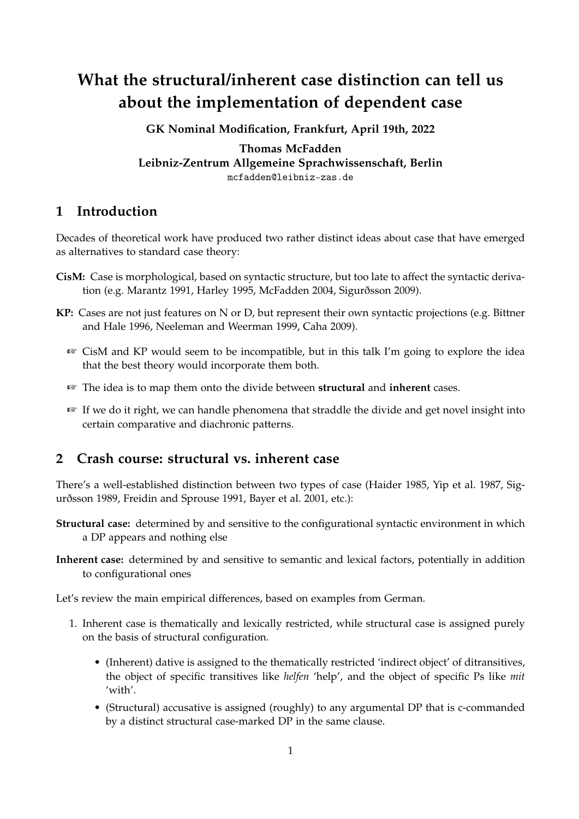# **What the structural/inherent case distinction can tell us about the implementation of dependent case**

**GK Nominal Modification, Frankfurt, April 19th, 2022**

**Thomas McFadden Leibniz-Zentrum Allgemeine Sprachwissenschaft, Berlin** mcfadden@leibniz-zas.de

## **1 Introduction**

Decades of theoretical work have produced two rather distinct ideas about case that have emerged as alternatives to standard case theory:

- **CisM:** Case is morphological, based on syntactic structure, but too late to affect the syntactic derivation (e.g. Marantz 1991, Harley 1995, McFadden 2004, Sigurðsson 2009).
- **KP:** Cases are not just features on N or D, but represent their own syntactic projections (e.g. Bittner and Hale 1996, Neeleman and Weerman 1999, Caha 2009).
	- ☞ CisM and KP would seem to be incompatible, but in this talk I'm going to explore the idea that the best theory would incorporate them both.
	- ☞ The idea is to map them onto the divide between **structural** and **inherent** cases.
	- ☞ If we do it right, we can handle phenomena that straddle the divide and get novel insight into certain comparative and diachronic patterns.

## **2 Crash course: structural vs. inherent case**

There's a well-established distinction between two types of case (Haider 1985, Yip et al. 1987, Sigurðsson 1989, Freidin and Sprouse 1991, Bayer et al. 2001, etc.):

- **Structural case:** determined by and sensitive to the configurational syntactic environment in which a DP appears and nothing else
- **Inherent case:** determined by and sensitive to semantic and lexical factors, potentially in addition to configurational ones

Let's review the main empirical differences, based on examples from German.

- 1. Inherent case is thematically and lexically restricted, while structural case is assigned purely on the basis of structural configuration.
	- (Inherent) dative is assigned to the thematically restricted 'indirect object' of ditransitives, the object of specific transitives like *helfen* 'help', and the object of specific Ps like *mit* 'with'.
	- (Structural) accusative is assigned (roughly) to any argumental DP that is c-commanded by a distinct structural case-marked DP in the same clause.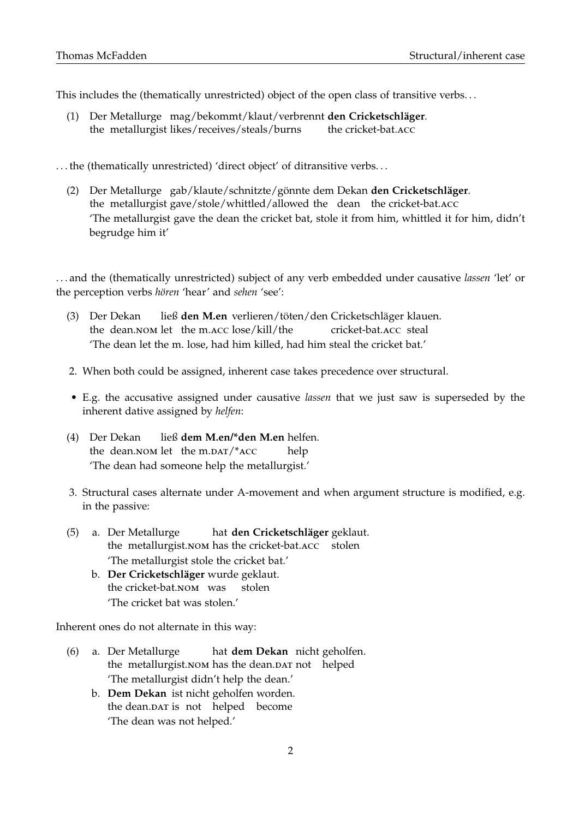This includes the (thematically unrestricted) object of the open class of transitive verbs. . .

- (1) Der Metallurge mag/bekommt/klaut/verbrennt **den Cricketschläger**. the metallurgist likes/receives/steals/burns the cricket-bat.acc
- . . . the (thematically unrestricted) 'direct object' of ditransitive verbs. . .
	- (2) Der Metallurge gab/klaute/schnitzte/gönnte dem Dekan **den Cricketschläger**. the metallurgist gave/stole/whittled/allowed the dean the cricket-bat.acc 'The metallurgist gave the dean the cricket bat, stole it from him, whittled it for him, didn't begrudge him it'

. . . and the (thematically unrestricted) subject of any verb embedded under causative *lassen* 'let' or the perception verbs *hören* 'hear' and *sehen* 'see':

- (3) Der Dekan the dean. NOM let the m.ACC lose/kill/the ließ **den M.en** verlieren/töten/den Cricketschläger klauen. cricket-bat.acc steal 'The dean let the m. lose, had him killed, had him steal the cricket bat.'
- 2. When both could be assigned, inherent case takes precedence over structural.
- E.g. the accusative assigned under causative *lassen* that we just saw is superseded by the inherent dative assigned by *helfen*:
- (4) Der Dekan the dean.NOM let the m.DAT/\*ACC ließ **dem M.en/\*den M.en** helfen. help 'The dean had someone help the metallurgist.'
- 3. Structural cases alternate under A-movement and when argument structure is modified, e.g. in the passive:
- (5) a. Der Metallurge the metallurgist.nom has the cricket-bat.acc stolen hat **den Cricketschläger** geklaut. 'The metallurgist stole the cricket bat.'
	- b. **Der Cricketschläger** wurde geklaut. the cricket-bat.nom was stolen 'The cricket bat was stolen.'

Inherent ones do not alternate in this way:

- (6) a. Der Metallurge the metallurgist.NOM has the dean.DAT not helped hat **dem Dekan** nicht geholfen. 'The metallurgist didn't help the dean.'
	- b. **Dem Dekan** ist nicht geholfen worden. the dean.DAT is not helped become 'The dean was not helped.'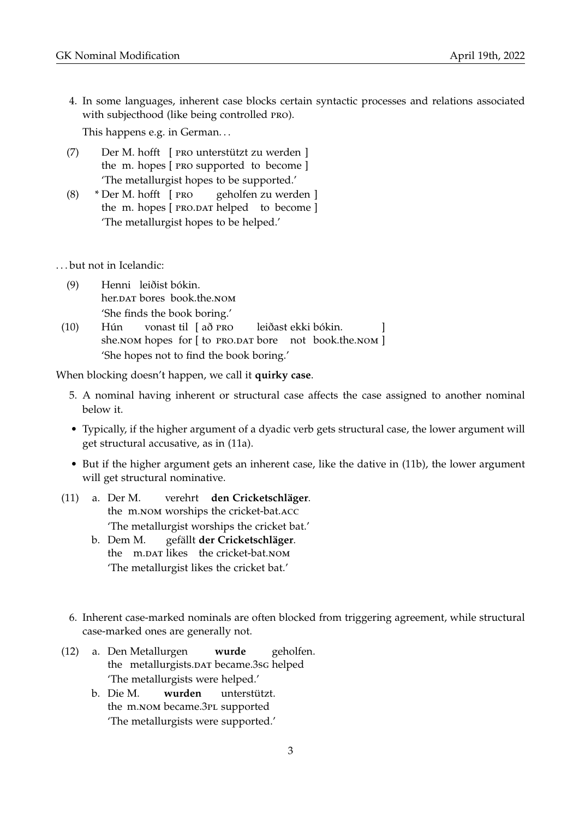4. In some languages, inherent case blocks certain syntactic processes and relations associated with subjecthood (like being controlled pro).

This happens e.g. in German. . .

- (7) Der M. hofft [ pro unterstützt zu werden ] the m. hopes [ PRO supported to become ] 'The metallurgist hopes to be supported.'
- (8) \* Der M. hofft [ pro the m. hopes [ PRO.DAT helped to become ] geholfen zu werden ] 'The metallurgist hopes to be helped.'
- . . . but not in Icelandic:
	- (9) Henni leiðist bókin. her.DAT bores book.the.NOM 'She finds the book boring.'
- (10) Hún she.nom hopes for [to PRO.DAT bore not book.the.nom ] vonast til [að PRO leiðast ekki bókin. ] 'She hopes not to find the book boring.'

When blocking doesn't happen, we call it **quirky case**.

- 5. A nominal having inherent or structural case affects the case assigned to another nominal below it.
- Typically, if the higher argument of a dyadic verb gets structural case, the lower argument will get structural accusative, as in (11a).
- But if the higher argument gets an inherent case, like the dative in (11b), the lower argument will get structural nominative.
- (11) a. Der M. the m.nom worships the cricket-bat.acc verehrt **den Cricketschläger**. 'The metallurgist worships the cricket bat.'
	- b. Dem M. the m.DAT likes the cricket-bat.NOM gefällt **der Cricketschläger**. 'The metallurgist likes the cricket bat.'
	- 6. Inherent case-marked nominals are often blocked from triggering agreement, while structural case-marked ones are generally not.
- (12) a. Den Metallurgen the metallurgists.DAT became.3sG helped **wurde** geholfen. 'The metallurgists were helped.'
	- b. Die M. the m.nom became.3PL supported **wurden** unterstützt. 'The metallurgists were supported.'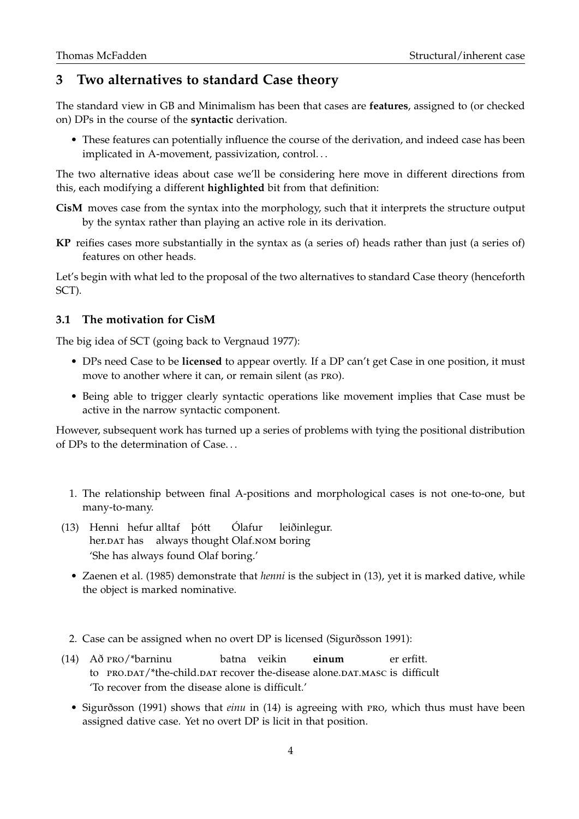## **3 Two alternatives to standard Case theory**

The standard view in GB and Minimalism has been that cases are **features**, assigned to (or checked on) DPs in the course of the **syntactic** derivation.

• These features can potentially influence the course of the derivation, and indeed case has been implicated in A-movement, passivization, control. . .

The two alternative ideas about case we'll be considering here move in different directions from this, each modifying a different **highlighted** bit from that definition:

- **CisM** moves case from the syntax into the morphology, such that it interprets the structure output by the syntax rather than playing an active role in its derivation.
- **KP** reifies cases more substantially in the syntax as (a series of) heads rather than just (a series of) features on other heads.

Let's begin with what led to the proposal of the two alternatives to standard Case theory (henceforth SCT).

#### **3.1 The motivation for CisM**

The big idea of SCT (going back to Vergnaud 1977):

- DPs need Case to be **licensed** to appear overtly. If a DP can't get Case in one position, it must move to another where it can, or remain silent (as pro).
- Being able to trigger clearly syntactic operations like movement implies that Case must be active in the narrow syntactic component.

However, subsequent work has turned up a series of problems with tying the positional distribution of DPs to the determination of Case. . .

- 1. The relationship between final A-positions and morphological cases is not one-to-one, but many-to-many.
- (13) Henni hefur alltaf þótt her.DAT has always thought Olaf.NOM boring Ólafur leiðinlegur. 'She has always found Olaf boring.'
	- Zaenen et al. (1985) demonstrate that *henni* is the subject in (13), yet it is marked dative, while the object is marked nominative.
- 2. Case can be assigned when no overt DP is licensed (Sigurðsson 1991):
- (14) Að pro/\*barninu to PRO.DAT/\*the-child.DAT recover the-disease alone.DAT.MASC is difficult batna veikin **einum** er erfitt. 'To recover from the disease alone is difficult.'
	- Sigurðsson (1991) shows that *einu* in (14) is agreeing with pro, which thus must have been assigned dative case. Yet no overt DP is licit in that position.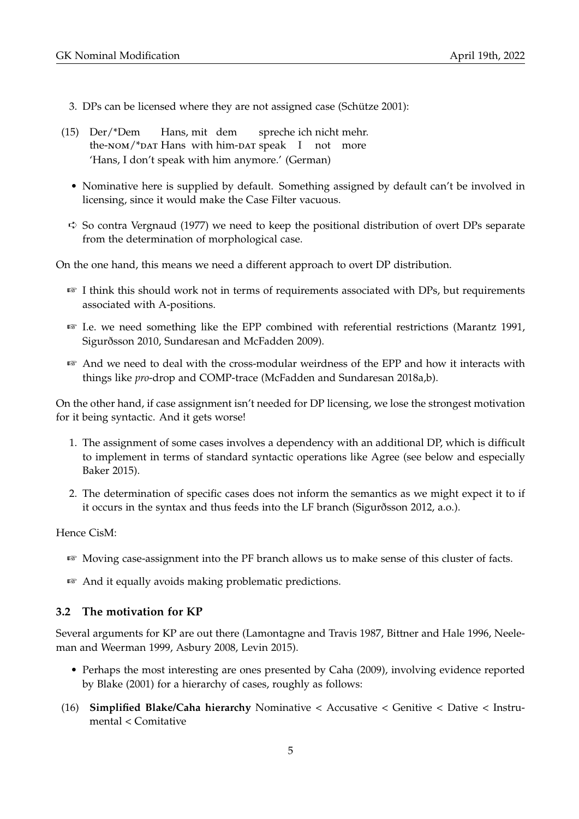- 3. DPs can be licensed where they are not assigned case (Schütze 2001):
- (15) Der/\*Dem the-NOM/\*DAT Hans with him-DAT speak I not more Hans, mit dem spreche ich nicht mehr. 'Hans, I don't speak with him anymore.' (German)
	- Nominative here is supplied by default. Something assigned by default can't be involved in licensing, since it would make the Case Filter vacuous.
- $\leftrightarrow$  So contra Vergnaud (1977) we need to keep the positional distribution of overt DPs separate from the determination of morphological case.

On the one hand, this means we need a different approach to overt DP distribution.

- ☞ I think this should work not in terms of requirements associated with DPs, but requirements associated with A-positions.
- ☞ I.e. we need something like the EPP combined with referential restrictions (Marantz 1991, Sigurðsson 2010, Sundaresan and McFadden 2009).
- ☞ And we need to deal with the cross-modular weirdness of the EPP and how it interacts with things like *pro*-drop and COMP-trace (McFadden and Sundaresan 2018a,b).

On the other hand, if case assignment isn't needed for DP licensing, we lose the strongest motivation for it being syntactic. And it gets worse!

- 1. The assignment of some cases involves a dependency with an additional DP, which is difficult to implement in terms of standard syntactic operations like Agree (see below and especially Baker 2015).
- 2. The determination of specific cases does not inform the semantics as we might expect it to if it occurs in the syntax and thus feeds into the LF branch (Sigurðsson 2012, a.o.).

Hence CisM:

- ☞ Moving case-assignment into the PF branch allows us to make sense of this cluster of facts.
- ☞ And it equally avoids making problematic predictions.

#### **3.2 The motivation for KP**

Several arguments for KP are out there (Lamontagne and Travis 1987, Bittner and Hale 1996, Neeleman and Weerman 1999, Asbury 2008, Levin 2015).

- Perhaps the most interesting are ones presented by Caha (2009), involving evidence reported by Blake (2001) for a hierarchy of cases, roughly as follows:
- (16) **Simplified Blake/Caha hierarchy** Nominative < Accusative < Genitive < Dative < Instrumental < Comitative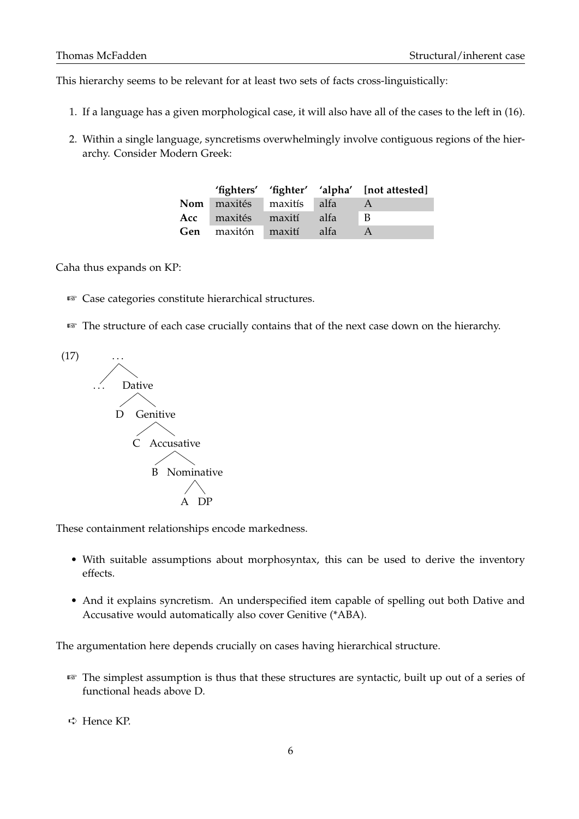This hierarchy seems to be relevant for at least two sets of facts cross-linguistically:

- 1. If a language has a given morphological case, it will also have all of the cases to the left in (16).
- 2. Within a single language, syncretisms overwhelmingly involve contiguous regions of the hierarchy. Consider Modern Greek:

|                                |      | 'fighters' 'fighter' 'alpha' [not attested] |
|--------------------------------|------|---------------------------------------------|
| Nom maxités maxitís alfa       |      |                                             |
| <b>Acc</b> maxités maxití      | alfa | $\blacksquare$ B                            |
| <b>Gen</b> maxitón maxití alfa |      |                                             |

Caha thus expands on KP:

- ☞ Case categories constitute hierarchical structures.
- ☞ The structure of each case crucially contains that of the next case down on the hierarchy.



These containment relationships encode markedness.

- With suitable assumptions about morphosyntax, this can be used to derive the inventory effects.
- And it explains syncretism. An underspecified item capable of spelling out both Dative and Accusative would automatically also cover Genitive (\*ABA).

The argumentation here depends crucially on cases having hierarchical structure.

☞ The simplest assumption is thus that these structures are syntactic, built up out of a series of functional heads above D.

➪ Hence KP.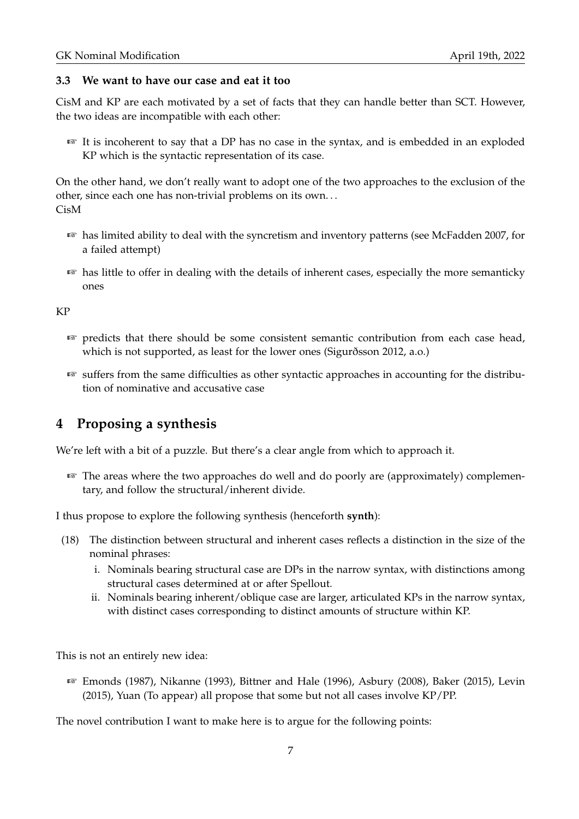#### **3.3 We want to have our case and eat it too**

CisM and KP are each motivated by a set of facts that they can handle better than SCT. However, the two ideas are incompatible with each other:

☞ It is incoherent to say that a DP has no case in the syntax, and is embedded in an exploded KP which is the syntactic representation of its case.

On the other hand, we don't really want to adopt one of the two approaches to the exclusion of the other, since each one has non-trivial problems on its own. . . CisM

- ☞ has limited ability to deal with the syncretism and inventory patterns (see McFadden 2007, for a failed attempt)
- ☞ has little to offer in dealing with the details of inherent cases, especially the more semanticky ones

KP

- ☞ predicts that there should be some consistent semantic contribution from each case head, which is not supported, as least for the lower ones (Sigurðsson 2012, a.o.)
- ☞ suffers from the same difficulties as other syntactic approaches in accounting for the distribution of nominative and accusative case

## **4 Proposing a synthesis**

We're left with a bit of a puzzle. But there's a clear angle from which to approach it.

☞ The areas where the two approaches do well and do poorly are (approximately) complementary, and follow the structural/inherent divide.

I thus propose to explore the following synthesis (henceforth **synth**):

- (18) The distinction between structural and inherent cases reflects a distinction in the size of the nominal phrases:
	- i. Nominals bearing structural case are DPs in the narrow syntax, with distinctions among structural cases determined at or after Spellout.
	- ii. Nominals bearing inherent/oblique case are larger, articulated KPs in the narrow syntax, with distinct cases corresponding to distinct amounts of structure within KP.

This is not an entirely new idea:

☞ Emonds (1987), Nikanne (1993), Bittner and Hale (1996), Asbury (2008), Baker (2015), Levin (2015), Yuan (To appear) all propose that some but not all cases involve KP/PP.

The novel contribution I want to make here is to argue for the following points: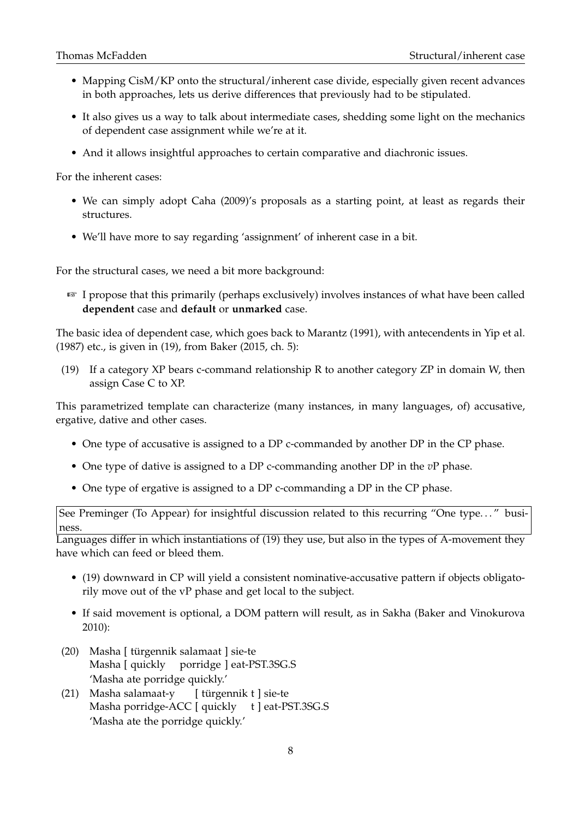- Mapping CisM/KP onto the structural/inherent case divide, especially given recent advances in both approaches, lets us derive differences that previously had to be stipulated.
- It also gives us a way to talk about intermediate cases, shedding some light on the mechanics of dependent case assignment while we're at it.
- And it allows insightful approaches to certain comparative and diachronic issues.

For the inherent cases:

- We can simply adopt Caha (2009)'s proposals as a starting point, at least as regards their structures.
- We'll have more to say regarding 'assignment' of inherent case in a bit.

For the structural cases, we need a bit more background:

☞ I propose that this primarily (perhaps exclusively) involves instances of what have been called **dependent** case and **default** or **unmarked** case.

The basic idea of dependent case, which goes back to Marantz (1991), with antecendents in Yip et al. (1987) etc., is given in (19), from Baker (2015, ch. 5):

(19) If a category XP bears c-command relationship R to another category ZP in domain W, then assign Case C to XP.

This parametrized template can characterize (many instances, in many languages, of) accusative, ergative, dative and other cases.

- One type of accusative is assigned to a DP c-commanded by another DP in the CP phase.
- One type of dative is assigned to a DP c-commanding another DP in the *v*P phase.
- One type of ergative is assigned to a DP c-commanding a DP in the CP phase.

See Preminger (To Appear) for insightful discussion related to this recurring "One type. . . " business.

Languages differ in which instantiations of (19) they use, but also in the types of A-movement they have which can feed or bleed them.

- (19) downward in CP will yield a consistent nominative-accusative pattern if objects obligatorily move out of the vP phase and get local to the subject.
- If said movement is optional, a DOM pattern will result, as in Sakha (Baker and Vinokurova 2010):
- (20) Masha [ türgennik salamaat ] sie-te Masha [ quickly porridge ] eat-PST.3SG.S 'Masha ate porridge quickly.'
- (21) Masha salamaat-y Masha porridge-ACC [ quickly t ] eat-PST.3SG.S [ türgennik t ] sie-te 'Masha ate the porridge quickly.'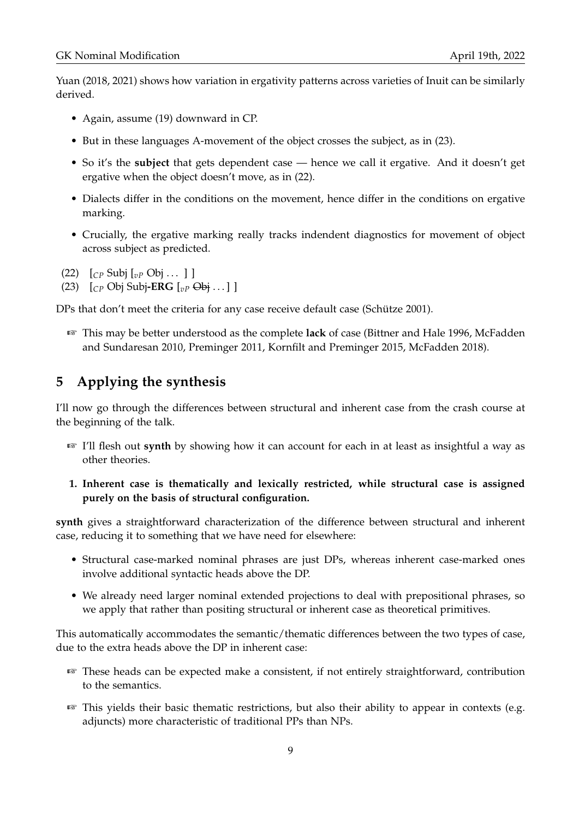Yuan (2018, 2021) shows how variation in ergativity patterns across varieties of Inuit can be similarly derived.

- Again, assume (19) downward in CP.
- But in these languages A-movement of the object crosses the subject, as in (23).
- So it's the **subject** that gets dependent case hence we call it ergative. And it doesn't get ergative when the object doesn't move, as in (22).
- Dialects differ in the conditions on the movement, hence differ in the conditions on ergative marking.
- Crucially, the ergative marking really tracks indendent diagnostics for movement of object across subject as predicted.
- (22)  $[CP \text{Subi } [vP \text{ Obi } ... ]]$
- (23) [*CP* Obj Subj**-ERG** [*vP* Obj . . . ] ]

DPs that don't meet the criteria for any case receive default case (Schütze 2001).

☞ This may be better understood as the complete **lack** of case (Bittner and Hale 1996, McFadden and Sundaresan 2010, Preminger 2011, Kornfilt and Preminger 2015, McFadden 2018).

## **5 Applying the synthesis**

I'll now go through the differences between structural and inherent case from the crash course at the beginning of the talk.

- ☞ I'll flesh out **synth** by showing how it can account for each in at least as insightful a way as other theories.
- **1. Inherent case is thematically and lexically restricted, while structural case is assigned purely on the basis of structural configuration.**

**synth** gives a straightforward characterization of the difference between structural and inherent case, reducing it to something that we have need for elsewhere:

- Structural case-marked nominal phrases are just DPs, whereas inherent case-marked ones involve additional syntactic heads above the DP.
- We already need larger nominal extended projections to deal with prepositional phrases, so we apply that rather than positing structural or inherent case as theoretical primitives.

This automatically accommodates the semantic/thematic differences between the two types of case, due to the extra heads above the DP in inherent case:

- ☞ These heads can be expected make a consistent, if not entirely straightforward, contribution to the semantics.
- ☞ This yields their basic thematic restrictions, but also their ability to appear in contexts (e.g. adjuncts) more characteristic of traditional PPs than NPs.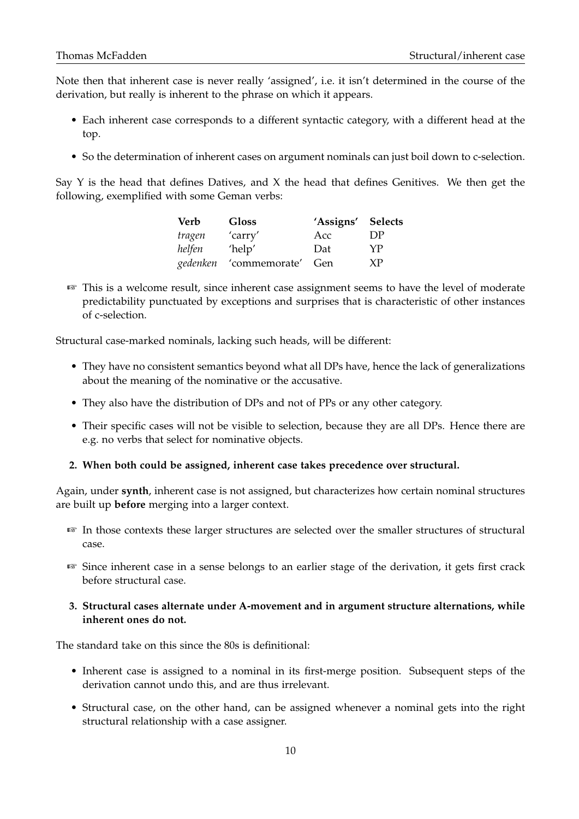Note then that inherent case is never really 'assigned', i.e. it isn't determined in the course of the derivation, but really is inherent to the phrase on which it appears.

- Each inherent case corresponds to a different syntactic category, with a different head at the top.
- So the determination of inherent cases on argument nominals can just boil down to c-selection.

Say Y is the head that defines Datives, and X the head that defines Genitives. We then get the following, exemplified with some Geman verbs:

| Verb     | <b>Gloss</b>      | 'Assigns' Selects |    |
|----------|-------------------|-------------------|----|
| tragen   | 'carry'           | Acc               | DР |
| helfen   | 'help'            | Dat               | YP |
| gedenken | 'commemorate' Gen |                   | XP |

☞ This is a welcome result, since inherent case assignment seems to have the level of moderate predictability punctuated by exceptions and surprises that is characteristic of other instances of c-selection.

Structural case-marked nominals, lacking such heads, will be different:

- They have no consistent semantics beyond what all DPs have, hence the lack of generalizations about the meaning of the nominative or the accusative.
- They also have the distribution of DPs and not of PPs or any other category.
- Their specific cases will not be visible to selection, because they are all DPs. Hence there are e.g. no verbs that select for nominative objects.

#### **2. When both could be assigned, inherent case takes precedence over structural.**

Again, under **synth**, inherent case is not assigned, but characterizes how certain nominal structures are built up **before** merging into a larger context.

- ☞ In those contexts these larger structures are selected over the smaller structures of structural case.
- ☞ Since inherent case in a sense belongs to an earlier stage of the derivation, it gets first crack before structural case.
- **3. Structural cases alternate under A-movement and in argument structure alternations, while inherent ones do not.**

The standard take on this since the 80s is definitional:

- Inherent case is assigned to a nominal in its first-merge position. Subsequent steps of the derivation cannot undo this, and are thus irrelevant.
- Structural case, on the other hand, can be assigned whenever a nominal gets into the right structural relationship with a case assigner.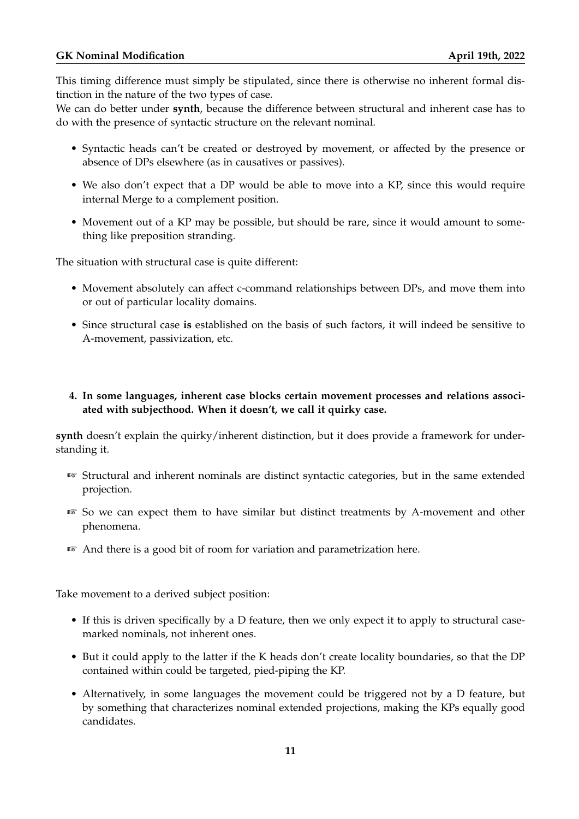This timing difference must simply be stipulated, since there is otherwise no inherent formal distinction in the nature of the two types of case.

We can do better under **synth**, because the difference between structural and inherent case has to do with the presence of syntactic structure on the relevant nominal.

- Syntactic heads can't be created or destroyed by movement, or affected by the presence or absence of DPs elsewhere (as in causatives or passives).
- We also don't expect that a DP would be able to move into a KP, since this would require internal Merge to a complement position.
- Movement out of a KP may be possible, but should be rare, since it would amount to something like preposition stranding.

The situation with structural case is quite different:

- Movement absolutely can affect c-command relationships between DPs, and move them into or out of particular locality domains.
- Since structural case **is** established on the basis of such factors, it will indeed be sensitive to A-movement, passivization, etc.
- **4. In some languages, inherent case blocks certain movement processes and relations associated with subjecthood. When it doesn't, we call it quirky case.**

**synth** doesn't explain the quirky/inherent distinction, but it does provide a framework for understanding it.

- ☞ Structural and inherent nominals are distinct syntactic categories, but in the same extended projection.
- ☞ So we can expect them to have similar but distinct treatments by A-movement and other phenomena.
- ☞ And there is a good bit of room for variation and parametrization here.

Take movement to a derived subject position:

- If this is driven specifically by a D feature, then we only expect it to apply to structural casemarked nominals, not inherent ones.
- But it could apply to the latter if the K heads don't create locality boundaries, so that the DP contained within could be targeted, pied-piping the KP.
- Alternatively, in some languages the movement could be triggered not by a D feature, but by something that characterizes nominal extended projections, making the KPs equally good candidates.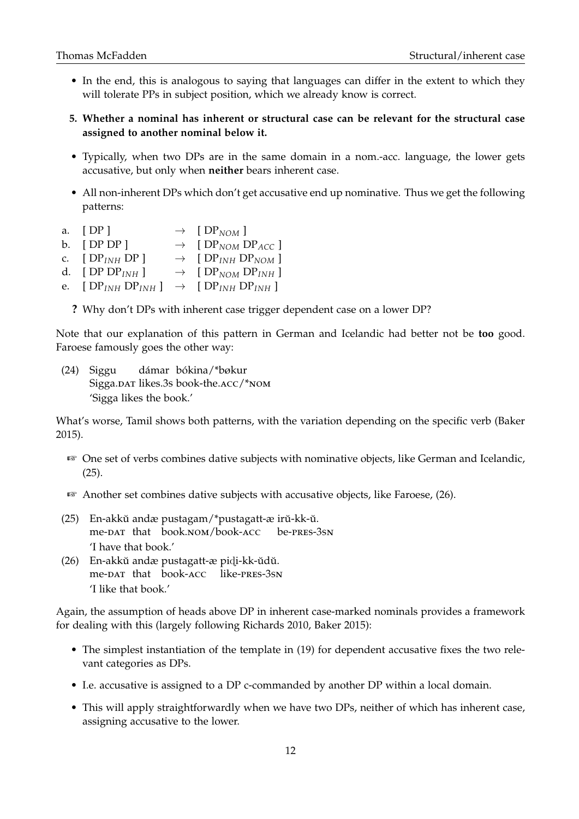- In the end, this is analogous to saying that languages can differ in the extent to which they will tolerate PPs in subject position, which we already know is correct.
- **5. Whether a nominal has inherent or structural case can be relevant for the structural case assigned to another nominal below it.**
- Typically, when two DPs are in the same domain in a nom.-acc. language, the lower gets accusative, but only when **neither** bears inherent case.
- All non-inherent DPs which don't get accusative end up nominative. Thus we get the following patterns:
- a.  $[DP] \rightarrow [DP_{NOM}]$
- b. [ DP DP ]  $\rightarrow$  [ DP<sub>NOM</sub> DP<sub>ACC</sub> ]
- c.  $[DP_{INH}DP] \rightarrow [DP_{INH}DP_{NOM}]$
- d. [ DP  $DP_{INH}$  ]  $\rightarrow$  [  $DP_{NOM}$   $DP_{INH}$  ]
- e.  $[DP_{INH}DP_{INH}] \rightarrow [DP_{INH}DP_{INH}]$

**?** Why don't DPs with inherent case trigger dependent case on a lower DP?

Note that our explanation of this pattern in German and Icelandic had better not be **too** good. Faroese famously goes the other way:

(24) Siggu Sigga.DAT likes.3s book-the.ACC/\*NOM dámar bókina/\*bøkur 'Sigga likes the book.'

What's worse, Tamil shows both patterns, with the variation depending on the specific verb (Baker 2015).

- ☞ One set of verbs combines dative subjects with nominative objects, like German and Icelandic, (25).
- ☞ Another set combines dative subjects with accusative objects, like Faroese, (26).
- (25) En-akkŭ andæ pustagam/\*pustagatt-æ irŭ-kk-ŭ. me-DAT that book.nom/book-ACC be-pres-3sn 'I have that book.'
- (26) En-akkŭ andæ pustagatt-æ pidi-kk-ŭdŭ. me-DAT that book-ACC like-PRES-3SN 'I like that book.'

Again, the assumption of heads above DP in inherent case-marked nominals provides a framework for dealing with this (largely following Richards 2010, Baker 2015):

- The simplest instantiation of the template in (19) for dependent accusative fixes the two relevant categories as DPs.
- I.e. accusative is assigned to a DP c-commanded by another DP within a local domain.
- This will apply straightforwardly when we have two DPs, neither of which has inherent case, assigning accusative to the lower.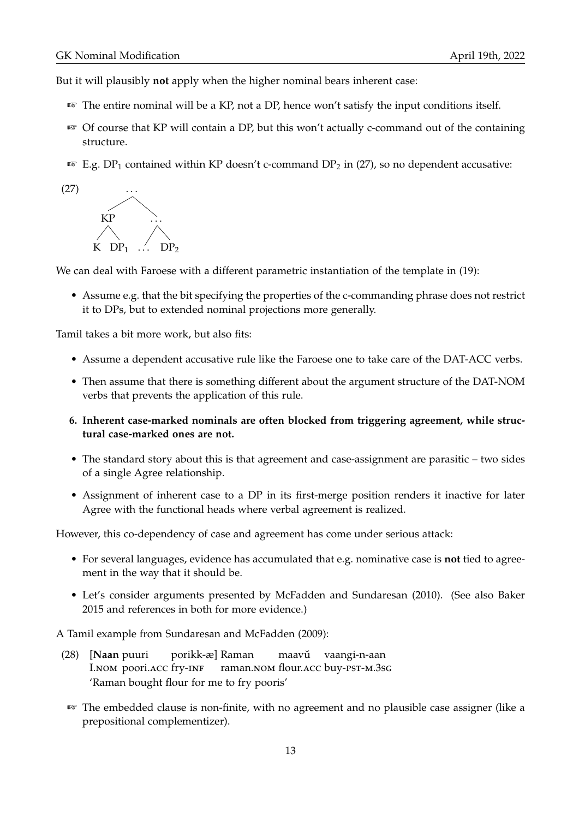But it will plausibly **not** apply when the higher nominal bears inherent case:

- ☞ The entire nominal will be a KP, not a DP, hence won't satisfy the input conditions itself.
- $\sqrt{w}$  Of course that KP will contain a DP, but this won't actually c-command out of the containing structure.
- **E.g. DP**<sub>1</sub> contained within KP doesn't c-command DP<sub>2</sub> in (27), so no dependent accusative:



We can deal with Faroese with a different parametric instantiation of the template in (19):

• Assume e.g. that the bit specifying the properties of the c-commanding phrase does not restrict it to DPs, but to extended nominal projections more generally.

Tamil takes a bit more work, but also fits:

- Assume a dependent accusative rule like the Faroese one to take care of the DAT-ACC verbs.
- Then assume that there is something different about the argument structure of the DAT-NOM verbs that prevents the application of this rule.
- **6. Inherent case-marked nominals are often blocked from triggering agreement, while structural case-marked ones are not.**
- The standard story about this is that agreement and case-assignment are parasitic two sides of a single Agree relationship.
- Assignment of inherent case to a DP in its first-merge position renders it inactive for later Agree with the functional heads where verbal agreement is realized.

However, this co-dependency of case and agreement has come under serious attack:

- For several languages, evidence has accumulated that e.g. nominative case is **not** tied to agreement in the way that it should be.
- Let's consider arguments presented by McFadden and Sundaresan (2010). (See also Baker 2015 and references in both for more evidence.)

A Tamil example from Sundaresan and McFadden (2009):

- (28) [**Naan** puuri I.NOM poori.ACC fry-INF porikk-æ] Raman raman.nom flour.acc buy-pst-m.3sg maavŭ vaangi-n-aan 'Raman bought flour for me to fry pooris'
- ☞ The embedded clause is non-finite, with no agreement and no plausible case assigner (like a prepositional complementizer).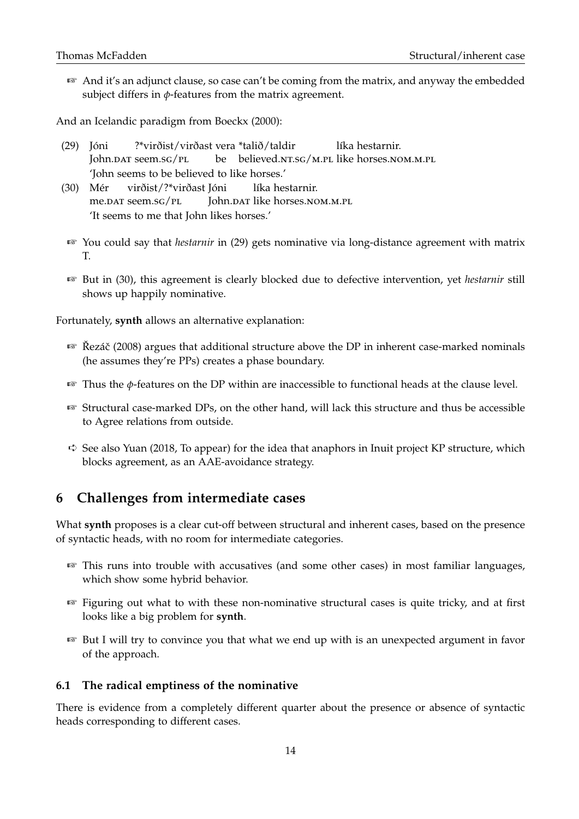☞ And it's an adjunct clause, so case can't be coming from the matrix, and anyway the embedded subject differs in  $\phi$ -features from the matrix agreement.

And an Icelandic paradigm from Boeckx (2000):

- (29) Jóni John.<mark>dat seem.sg/p</mark>L ?\*virðist/virðast vera \*talið/taldir be believed.NT.SG/M.PL like horses.NOM.M.PL líka hestarnir. 'John seems to be believed to like horses.'
- (30) Mér me.dat seem.sg/<mark>pl</mark> virðist/?\*virðast Jóni John.<mark>par like horses.nom.m.pl</mark> líka hestarnir. 'It seems to me that John likes horses.'
- ☞ You could say that *hestarnir* in (29) gets nominative via long-distance agreement with matrix T.
- ☞ But in (30), this agreement is clearly blocked due to defective intervention, yet *hestarnir* still shows up happily nominative.

Fortunately, **synth** allows an alternative explanation:

- $E$ <sup> $\approx$ </sup> Řezáč (2008) argues that additional structure above the DP in inherent case-marked nominals (he assumes they're PPs) creates a phase boundary.
- ☞ Thus the *φ*-features on the DP within are inaccessible to functional heads at the clause level.
- ☞ Structural case-marked DPs, on the other hand, will lack this structure and thus be accessible to Agree relations from outside.
- ➪ See also Yuan (2018, To appear) for the idea that anaphors in Inuit project KP structure, which blocks agreement, as an AAE-avoidance strategy.

## **6 Challenges from intermediate cases**

What **synth** proposes is a clear cut-off between structural and inherent cases, based on the presence of syntactic heads, with no room for intermediate categories.

- ☞ This runs into trouble with accusatives (and some other cases) in most familiar languages, which show some hybrid behavior.
- ☞ Figuring out what to with these non-nominative structural cases is quite tricky, and at first looks like a big problem for **synth**.
- ☞ But I will try to convince you that what we end up with is an unexpected argument in favor of the approach.

#### **6.1 The radical emptiness of the nominative**

There is evidence from a completely different quarter about the presence or absence of syntactic heads corresponding to different cases.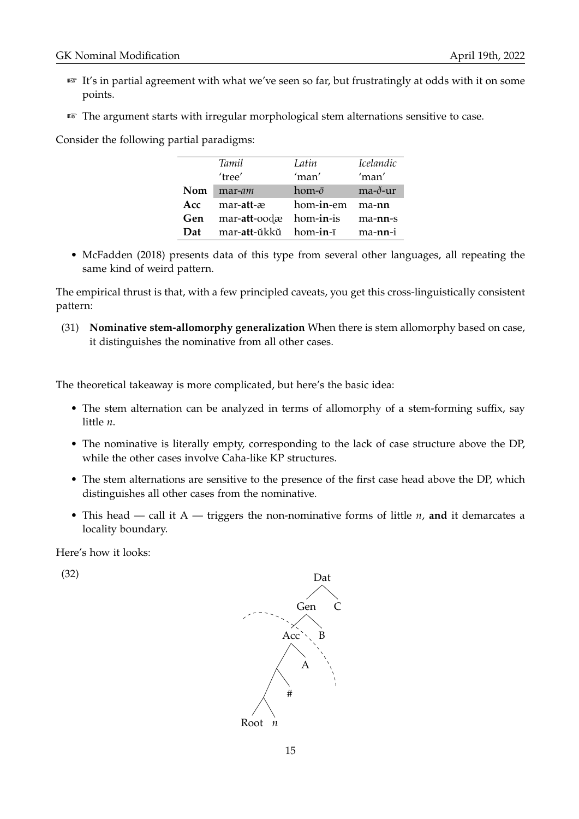- ☞ It's in partial agreement with what we've seen so far, but frustratingly at odds with it on some points.
- ☞ The argument starts with irregular morphological stem alternations sensitive to case.

Consider the following partial paradigms:

|            | Tamil                 | Latin          | Icelandic |
|------------|-----------------------|----------------|-----------|
|            | 'tree'                | 'man'          | 'man'     |
| <b>Nom</b> | mar-am                | hom- $\bar{o}$ | ma-ð-ur   |
| Acc:       | mar-att-æ             | hom-in-em      | ma-nn     |
| Gen        | mar-att-oodæ          | hom-in-is      | ma-nn-s   |
| Dat        | mar-att-ŭkkŭ hom-in-ī |                | ma-nn-i   |

• McFadden (2018) presents data of this type from several other languages, all repeating the same kind of weird pattern.

The empirical thrust is that, with a few principled caveats, you get this cross-linguistically consistent pattern:

(31) **Nominative stem-allomorphy generalization** When there is stem allomorphy based on case, it distinguishes the nominative from all other cases.

The theoretical takeaway is more complicated, but here's the basic idea:

- The stem alternation can be analyzed in terms of allomorphy of a stem-forming suffix, say little *n*.
- The nominative is literally empty, corresponding to the lack of case structure above the DP, while the other cases involve Caha-like KP structures.
- The stem alternations are sensitive to the presence of the first case head above the DP, which distinguishes all other cases from the nominative.
- This head call it A triggers the non-nominative forms of little *n*, **and** it demarcates a locality boundary.

Here's how it looks:

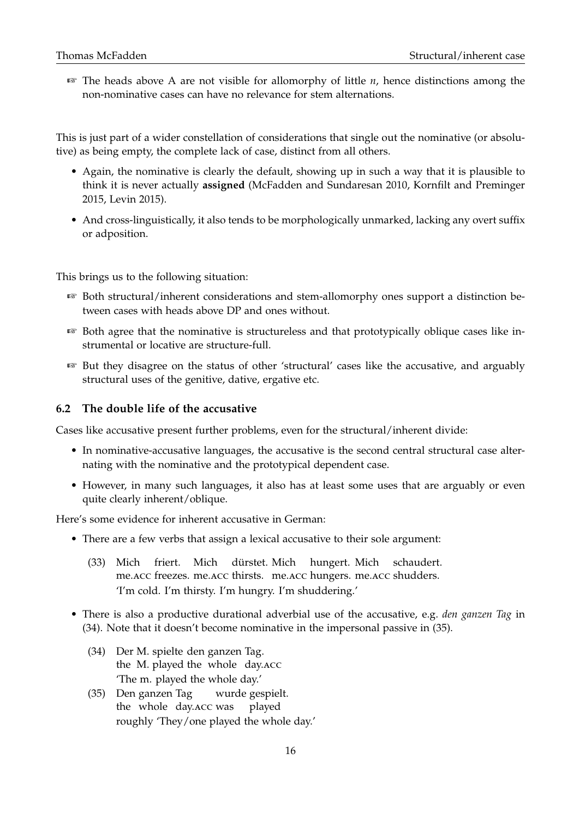☞ The heads above A are not visible for allomorphy of little *n*, hence distinctions among the non-nominative cases can have no relevance for stem alternations.

This is just part of a wider constellation of considerations that single out the nominative (or absolutive) as being empty, the complete lack of case, distinct from all others.

- Again, the nominative is clearly the default, showing up in such a way that it is plausible to think it is never actually **assigned** (McFadden and Sundaresan 2010, Kornfilt and Preminger 2015, Levin 2015).
- And cross-linguistically, it also tends to be morphologically unmarked, lacking any overt suffix or adposition.

This brings us to the following situation:

- ☞ Both structural/inherent considerations and stem-allomorphy ones support a distinction between cases with heads above DP and ones without.
- ☞ Both agree that the nominative is structureless and that prototypically oblique cases like instrumental or locative are structure-full.
- ☞ But they disagree on the status of other 'structural' cases like the accusative, and arguably structural uses of the genitive, dative, ergative etc.

#### **6.2 The double life of the accusative**

Cases like accusative present further problems, even for the structural/inherent divide:

- In nominative-accusative languages, the accusative is the second central structural case alternating with the nominative and the prototypical dependent case.
- However, in many such languages, it also has at least some uses that are arguably or even quite clearly inherent/oblique.

Here's some evidence for inherent accusative in German:

- There are a few verbs that assign a lexical accusative to their sole argument:
	- (33) Mich me.acc freezes. me.acc thirsts. me.acc hungers. me.acc shudders. friert. Mich dürstet. Mich hungert. Mich schaudert. 'I'm cold. I'm thirsty. I'm hungry. I'm shuddering.'
- There is also a productive durational adverbial use of the accusative, e.g. *den ganzen Tag* in (34). Note that it doesn't become nominative in the impersonal passive in (35).
	- (34) Der M. spielte den ganzen Tag. the M. played the whole day.ACC 'The m. played the whole day.'
	- (35) Den ganzen Tag the whole day.acc was wurde gespielt. played roughly 'They/one played the whole day.'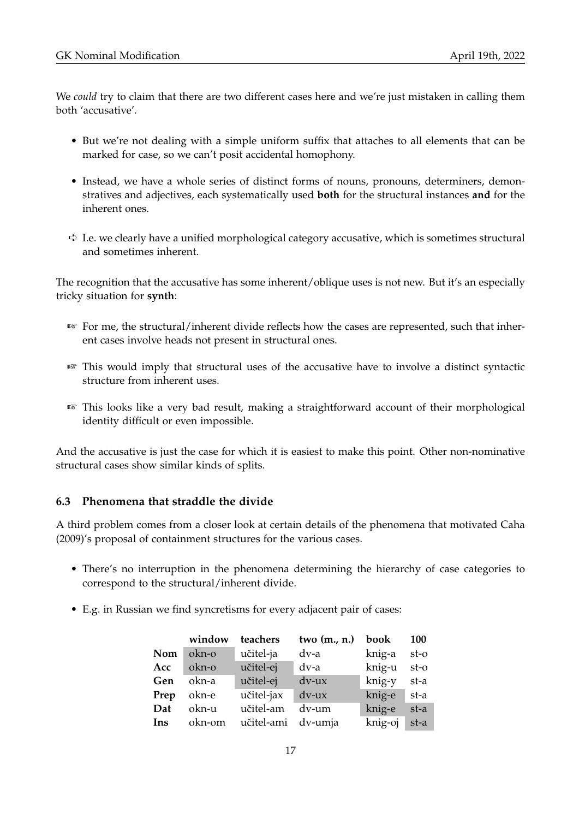We *could* try to claim that there are two different cases here and we're just mistaken in calling them both 'accusative'.

- But we're not dealing with a simple uniform suffix that attaches to all elements that can be marked for case, so we can't posit accidental homophony.
- Instead, we have a whole series of distinct forms of nouns, pronouns, determiners, demonstratives and adjectives, each systematically used **both** for the structural instances **and** for the inherent ones.
- ➪ I.e. we clearly have a unified morphological category accusative, which is sometimes structural and sometimes inherent.

The recognition that the accusative has some inherent/oblique uses is not new. But it's an especially tricky situation for **synth**:

- ☞ For me, the structural/inherent divide reflects how the cases are represented, such that inherent cases involve heads not present in structural ones.
- ☞ This would imply that structural uses of the accusative have to involve a distinct syntactic structure from inherent uses.
- ☞ This looks like a very bad result, making a straightforward account of their morphological identity difficult or even impossible.

And the accusative is just the case for which it is easiest to make this point. Other non-nominative structural cases show similar kinds of splits.

#### **6.3 Phenomena that straddle the divide**

A third problem comes from a closer look at certain details of the phenomena that motivated Caha (2009)'s proposal of containment structures for the various cases.

- There's no interruption in the phenomena determining the hierarchy of case categories to correspond to the structural/inherent divide.
- E.g. in Russian we find syncretisms for every adjacent pair of cases:

|            | window | teachers           | two $(m., n.)$ | book    | <b>100</b> |
|------------|--------|--------------------|----------------|---------|------------|
| <b>Nom</b> | okn-o  | učitel-ja          | dv-a           | knig-a  | $st-o$     |
| Acc        | okn-o  | učitel-ej          | dv-a           | knig-u  | $st-o$     |
| Gen        | okn-a  | učitel-ej          | dv-ux          | knig-y  | st-a       |
| Prep       | okn-e  | učitel-jax         | $dv$ -ux       | knig-e  | st-a       |
| Dat        | okn-u  | učitel-am          | dv-um          | knig-e  | st-a       |
| Ins        | okn-om | učitel-ami dv-umja |                | knig-oj | st-a       |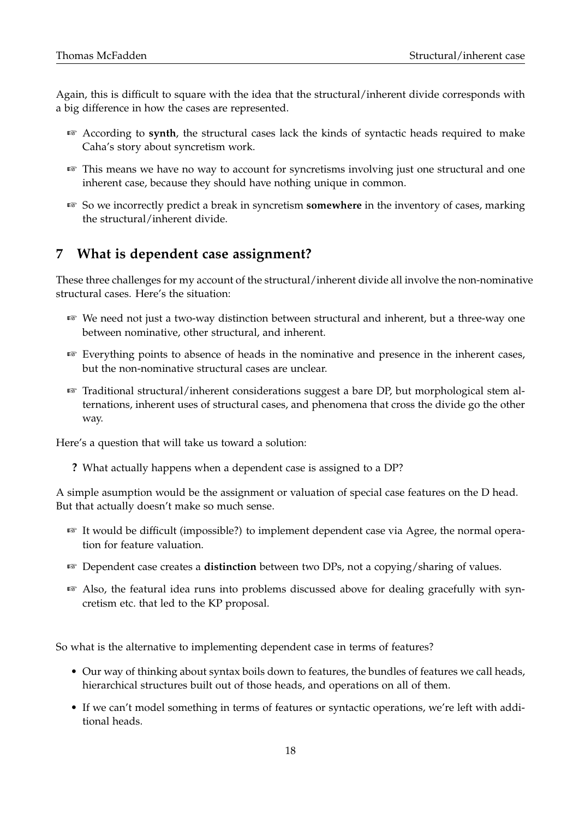Again, this is difficult to square with the idea that the structural/inherent divide corresponds with a big difference in how the cases are represented.

- ☞ According to **synth**, the structural cases lack the kinds of syntactic heads required to make Caha's story about syncretism work.
- ☞ This means we have no way to account for syncretisms involving just one structural and one inherent case, because they should have nothing unique in common.
- ☞ So we incorrectly predict a break in syncretism **somewhere** in the inventory of cases, marking the structural/inherent divide.

## **7 What is dependent case assignment?**

These three challenges for my account of the structural/inherent divide all involve the non-nominative structural cases. Here's the situation:

- ☞ We need not just a two-way distinction between structural and inherent, but a three-way one between nominative, other structural, and inherent.
- ☞ Everything points to absence of heads in the nominative and presence in the inherent cases, but the non-nominative structural cases are unclear.
- ☞ Traditional structural/inherent considerations suggest a bare DP, but morphological stem alternations, inherent uses of structural cases, and phenomena that cross the divide go the other way.

Here's a question that will take us toward a solution:

**?** What actually happens when a dependent case is assigned to a DP?

A simple asumption would be the assignment or valuation of special case features on the D head. But that actually doesn't make so much sense.

- ☞ It would be difficult (impossible?) to implement dependent case via Agree, the normal operation for feature valuation.
- ☞ Dependent case creates a **distinction** between two DPs, not a copying/sharing of values.
- ☞ Also, the featural idea runs into problems discussed above for dealing gracefully with syncretism etc. that led to the KP proposal.

So what is the alternative to implementing dependent case in terms of features?

- Our way of thinking about syntax boils down to features, the bundles of features we call heads, hierarchical structures built out of those heads, and operations on all of them.
- If we can't model something in terms of features or syntactic operations, we're left with additional heads.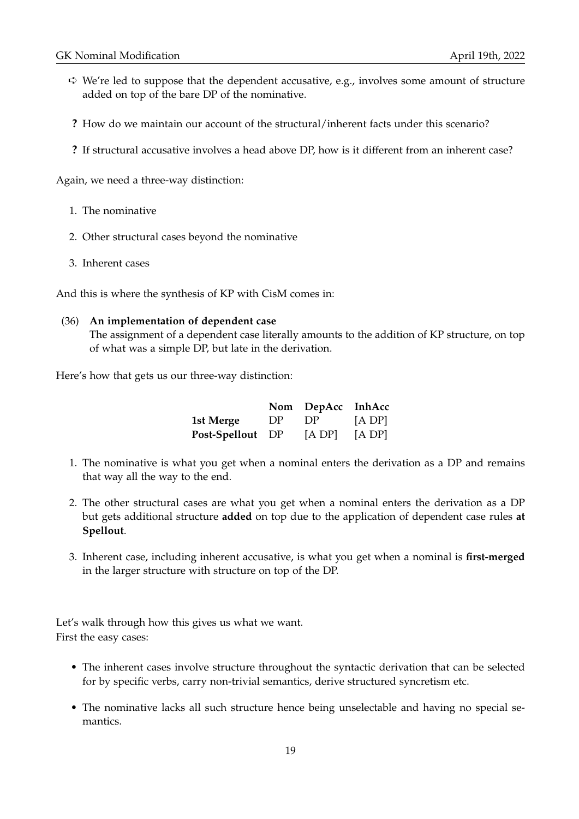- $\Leftrightarrow$  We're led to suppose that the dependent accusative, e.g., involves some amount of structure added on top of the bare DP of the nominative.
- **?** How do we maintain our account of the structural/inherent facts under this scenario?
- **?** If structural accusative involves a head above DP, how is it different from an inherent case?

Again, we need a three-way distinction:

- 1. The nominative
- 2. Other structural cases beyond the nominative
- 3. Inherent cases

And this is where the synthesis of KP with CisM comes in:

#### (36) **An implementation of dependent case**

The assignment of a dependent case literally amounts to the addition of KP structure, on top of what was a simple DP, but late in the derivation.

Here's how that gets us our three-way distinction:

|                  |     | Nom DepAcc InhAcc |        |
|------------------|-----|-------------------|--------|
| 1st Merge        | DP. | DP                | [A DP] |
| Post-Spellout DP |     | [A DP]            | [A DP] |

- 1. The nominative is what you get when a nominal enters the derivation as a DP and remains that way all the way to the end.
- 2. The other structural cases are what you get when a nominal enters the derivation as a DP but gets additional structure **added** on top due to the application of dependent case rules **at Spellout**.
- 3. Inherent case, including inherent accusative, is what you get when a nominal is **first-merged** in the larger structure with structure on top of the DP.

Let's walk through how this gives us what we want. First the easy cases:

- The inherent cases involve structure throughout the syntactic derivation that can be selected for by specific verbs, carry non-trivial semantics, derive structured syncretism etc.
- The nominative lacks all such structure hence being unselectable and having no special semantics.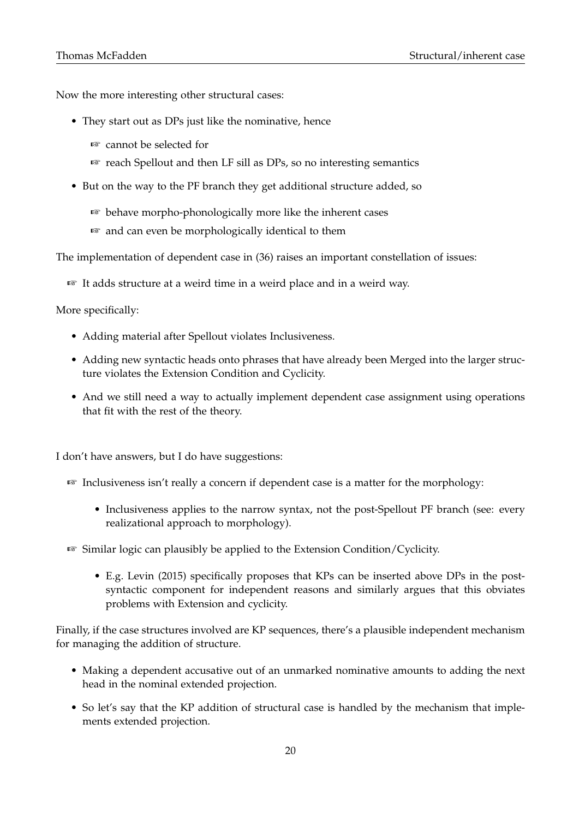Now the more interesting other structural cases:

- They start out as DPs just like the nominative, hence
	- ☞ cannot be selected for
	- ☞ reach Spellout and then LF sill as DPs, so no interesting semantics
- But on the way to the PF branch they get additional structure added, so
	- ☞ behave morpho-phonologically more like the inherent cases
	- ☞ and can even be morphologically identical to them

The implementation of dependent case in (36) raises an important constellation of issues:

☞ It adds structure at a weird time in a weird place and in a weird way.

More specifically:

- Adding material after Spellout violates Inclusiveness.
- Adding new syntactic heads onto phrases that have already been Merged into the larger structure violates the Extension Condition and Cyclicity.
- And we still need a way to actually implement dependent case assignment using operations that fit with the rest of the theory.

I don't have answers, but I do have suggestions:

- ☞ Inclusiveness isn't really a concern if dependent case is a matter for the morphology:
	- Inclusiveness applies to the narrow syntax, not the post-Spellout PF branch (see: every realizational approach to morphology).
- ☞ Similar logic can plausibly be applied to the Extension Condition/Cyclicity.
	- E.g. Levin (2015) specifically proposes that KPs can be inserted above DPs in the postsyntactic component for independent reasons and similarly argues that this obviates problems with Extension and cyclicity.

Finally, if the case structures involved are KP sequences, there's a plausible independent mechanism for managing the addition of structure.

- Making a dependent accusative out of an unmarked nominative amounts to adding the next head in the nominal extended projection.
- So let's say that the KP addition of structural case is handled by the mechanism that implements extended projection.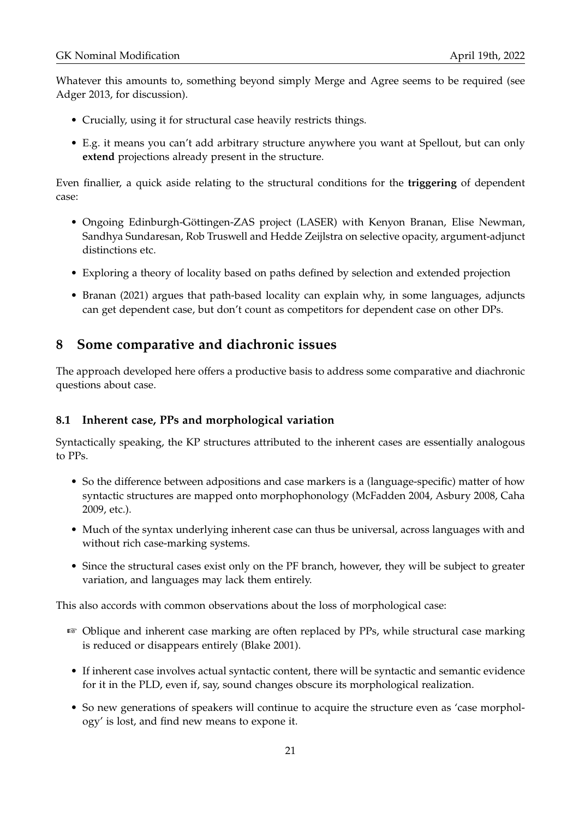Whatever this amounts to, something beyond simply Merge and Agree seems to be required (see Adger 2013, for discussion).

- Crucially, using it for structural case heavily restricts things.
- E.g. it means you can't add arbitrary structure anywhere you want at Spellout, but can only **extend** projections already present in the structure.

Even finallier, a quick aside relating to the structural conditions for the **triggering** of dependent case:

- Ongoing Edinburgh-Göttingen-ZAS project (LASER) with Kenyon Branan, Elise Newman, Sandhya Sundaresan, Rob Truswell and Hedde Zeijlstra on selective opacity, argument-adjunct distinctions etc.
- Exploring a theory of locality based on paths defined by selection and extended projection
- Branan (2021) argues that path-based locality can explain why, in some languages, adjuncts can get dependent case, but don't count as competitors for dependent case on other DPs.

## **8 Some comparative and diachronic issues**

The approach developed here offers a productive basis to address some comparative and diachronic questions about case.

#### **8.1 Inherent case, PPs and morphological variation**

Syntactically speaking, the KP structures attributed to the inherent cases are essentially analogous to PPs.

- So the difference between adpositions and case markers is a (language-specific) matter of how syntactic structures are mapped onto morphophonology (McFadden 2004, Asbury 2008, Caha 2009, etc.).
- Much of the syntax underlying inherent case can thus be universal, across languages with and without rich case-marking systems.
- Since the structural cases exist only on the PF branch, however, they will be subject to greater variation, and languages may lack them entirely.

This also accords with common observations about the loss of morphological case:

- ☞ Oblique and inherent case marking are often replaced by PPs, while structural case marking is reduced or disappears entirely (Blake 2001).
- If inherent case involves actual syntactic content, there will be syntactic and semantic evidence for it in the PLD, even if, say, sound changes obscure its morphological realization.
- So new generations of speakers will continue to acquire the structure even as 'case morphology' is lost, and find new means to expone it.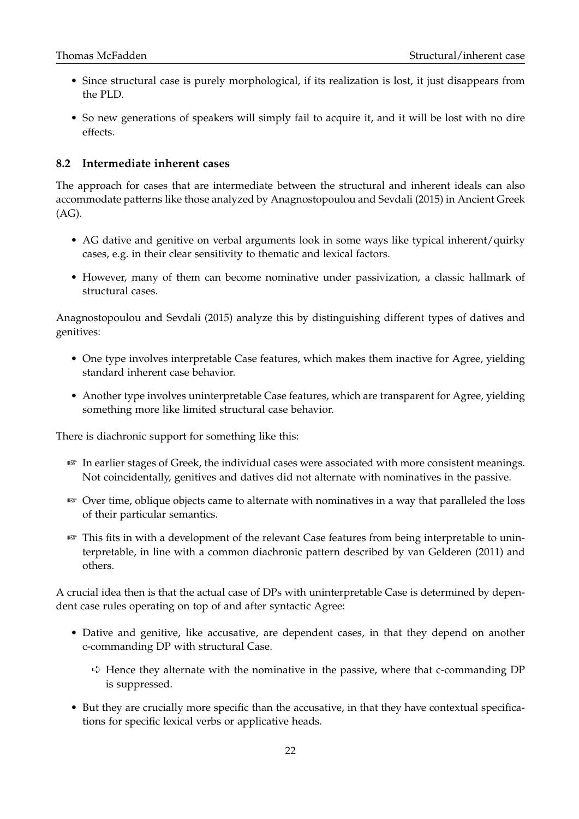- Since structural case is purely morphological, if its realization is lost, it just disappears from the PLD.
- So new generations of speakers will simply fail to acquire it, and it will be lost with no dire effects.

#### **8.2 Intermediate inherent cases**

The approach for cases that are intermediate between the structural and inherent ideals can also accommodate patterns like those analyzed by Anagnostopoulou and Sevdali (2015) in Ancient Greek (AG).

- AG dative and genitive on verbal arguments look in some ways like typical inherent/quirky cases, e.g. in their clear sensitivity to thematic and lexical factors.
- However, many of them can become nominative under passivization, a classic hallmark of structural cases.

Anagnostopoulou and Sevdali (2015) analyze this by distinguishing different types of datives and genitives:

- One type involves interpretable Case features, which makes them inactive for Agree, yielding standard inherent case behavior.
- Another type involves uninterpretable Case features, which are transparent for Agree, yielding something more like limited structural case behavior.

There is diachronic support for something like this:

- ☞ In earlier stages of Greek, the individual cases were associated with more consistent meanings. Not coincidentally, genitives and datives did not alternate with nominatives in the passive.
- ☞ Over time, oblique objects came to alternate with nominatives in a way that paralleled the loss of their particular semantics.
- ☞ This fits in with a development of the relevant Case features from being interpretable to uninterpretable, in line with a common diachronic pattern described by van Gelderen (2011) and others.

A crucial idea then is that the actual case of DPs with uninterpretable Case is determined by dependent case rules operating on top of and after syntactic Agree:

- Dative and genitive, like accusative, are dependent cases, in that they depend on another c-commanding DP with structural Case.
	- $\overrightarrow{\mathbf{v}}$  Hence they alternate with the nominative in the passive, where that c-commanding DP is suppressed.
- But they are crucially more specific than the accusative, in that they have contextual specifications for specific lexical verbs or applicative heads.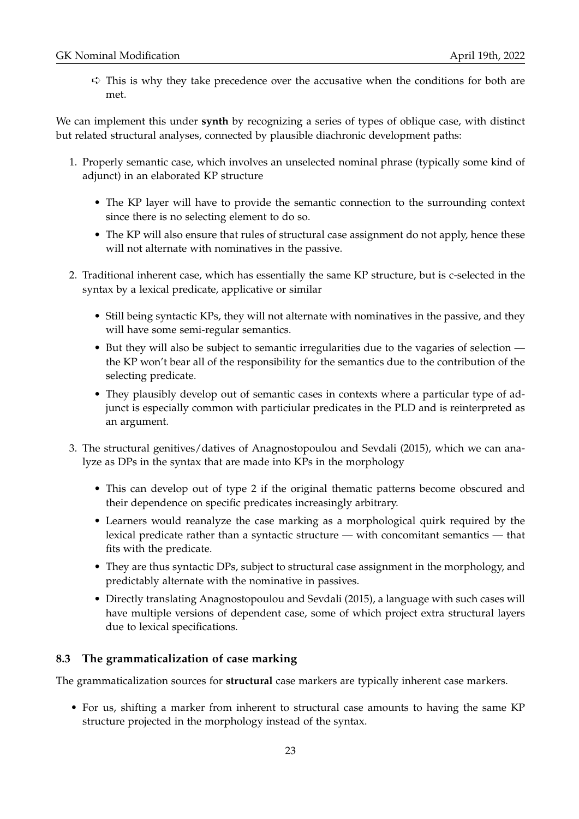$\Rightarrow$  This is why they take precedence over the accusative when the conditions for both are met.

We can implement this under **synth** by recognizing a series of types of oblique case, with distinct but related structural analyses, connected by plausible diachronic development paths:

- 1. Properly semantic case, which involves an unselected nominal phrase (typically some kind of adjunct) in an elaborated KP structure
	- The KP layer will have to provide the semantic connection to the surrounding context since there is no selecting element to do so.
	- The KP will also ensure that rules of structural case assignment do not apply, hence these will not alternate with nominatives in the passive.
- 2. Traditional inherent case, which has essentially the same KP structure, but is c-selected in the syntax by a lexical predicate, applicative or similar
	- Still being syntactic KPs, they will not alternate with nominatives in the passive, and they will have some semi-regular semantics.
	- But they will also be subject to semantic irregularities due to the vagaries of selection the KP won't bear all of the responsibility for the semantics due to the contribution of the selecting predicate.
	- They plausibly develop out of semantic cases in contexts where a particular type of adjunct is especially common with particiular predicates in the PLD and is reinterpreted as an argument.
- 3. The structural genitives/datives of Anagnostopoulou and Sevdali (2015), which we can analyze as DPs in the syntax that are made into KPs in the morphology
	- This can develop out of type 2 if the original thematic patterns become obscured and their dependence on specific predicates increasingly arbitrary.
	- Learners would reanalyze the case marking as a morphological quirk required by the lexical predicate rather than a syntactic structure — with concomitant semantics — that fits with the predicate.
	- They are thus syntactic DPs, subject to structural case assignment in the morphology, and predictably alternate with the nominative in passives.
	- Directly translating Anagnostopoulou and Sevdali (2015), a language with such cases will have multiple versions of dependent case, some of which project extra structural layers due to lexical specifications.

### **8.3 The grammaticalization of case marking**

The grammaticalization sources for **structural** case markers are typically inherent case markers.

• For us, shifting a marker from inherent to structural case amounts to having the same KP structure projected in the morphology instead of the syntax.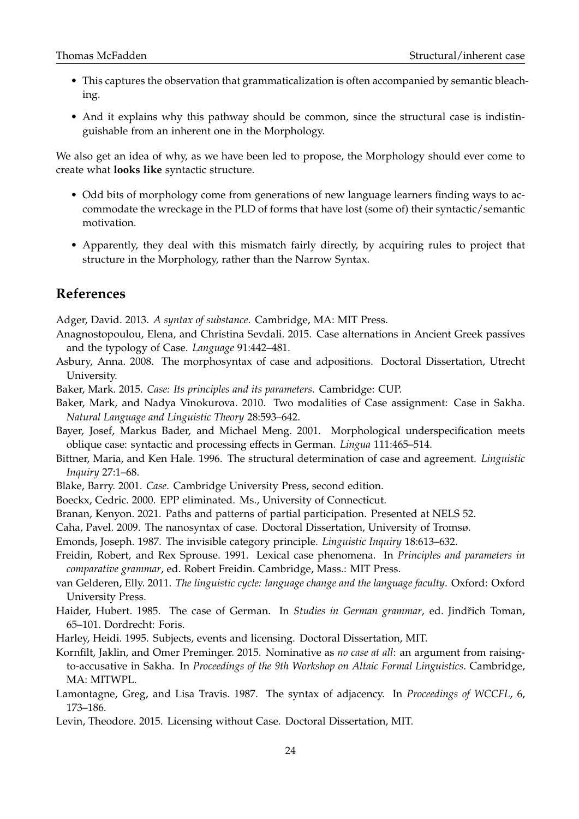- This captures the observation that grammaticalization is often accompanied by semantic bleaching.
- And it explains why this pathway should be common, since the structural case is indistinguishable from an inherent one in the Morphology.

We also get an idea of why, as we have been led to propose, the Morphology should ever come to create what **looks like** syntactic structure.

- Odd bits of morphology come from generations of new language learners finding ways to accommodate the wreckage in the PLD of forms that have lost (some of) their syntactic/semantic motivation.
- Apparently, they deal with this mismatch fairly directly, by acquiring rules to project that structure in the Morphology, rather than the Narrow Syntax.

## **References**

Adger, David. 2013. *A syntax of substance*. Cambridge, MA: MIT Press.

- Anagnostopoulou, Elena, and Christina Sevdali. 2015. Case alternations in Ancient Greek passives and the typology of Case. *Language* 91:442–481.
- Asbury, Anna. 2008. The morphosyntax of case and adpositions. Doctoral Dissertation, Utrecht University.
- Baker, Mark. 2015. *Case: Its principles and its parameters*. Cambridge: CUP.
- Baker, Mark, and Nadya Vinokurova. 2010. Two modalities of Case assignment: Case in Sakha. *Natural Language and Linguistic Theory* 28:593–642.
- Bayer, Josef, Markus Bader, and Michael Meng. 2001. Morphological underspecification meets oblique case: syntactic and processing effects in German. *Lingua* 111:465–514.
- Bittner, Maria, and Ken Hale. 1996. The structural determination of case and agreement. *Linguistic Inquiry* 27:1–68.
- Blake, Barry. 2001. *Case*. Cambridge University Press, second edition.
- Boeckx, Cedric. 2000. EPP eliminated. Ms., University of Connecticut.
- Branan, Kenyon. 2021. Paths and patterns of partial participation. Presented at NELS 52.

Caha, Pavel. 2009. The nanosyntax of case. Doctoral Dissertation, University of Tromsø.

Emonds, Joseph. 1987. The invisible category principle. *Linguistic Inquiry* 18:613–632.

- Freidin, Robert, and Rex Sprouse. 1991. Lexical case phenomena. In *Principles and parameters in comparative grammar*, ed. Robert Freidin. Cambridge, Mass.: MIT Press.
- van Gelderen, Elly. 2011. *The linguistic cycle: language change and the language faculty*. Oxford: Oxford University Press.
- Haider, Hubert. 1985. The case of German. In *Studies in German grammar*, ed. Jindřich Toman, 65–101. Dordrecht: Foris.
- Harley, Heidi. 1995. Subjects, events and licensing. Doctoral Dissertation, MIT.
- Kornfilt, Jaklin, and Omer Preminger. 2015. Nominative as *no case at all*: an argument from raisingto-accusative in Sakha. In *Proceedings of the 9th Workshop on Altaic Formal Linguistics*. Cambridge, MA: MITWPL.
- Lamontagne, Greg, and Lisa Travis. 1987. The syntax of adjacency. In *Proceedings of WCCFL*, 6, 173–186.
- Levin, Theodore. 2015. Licensing without Case. Doctoral Dissertation, MIT.